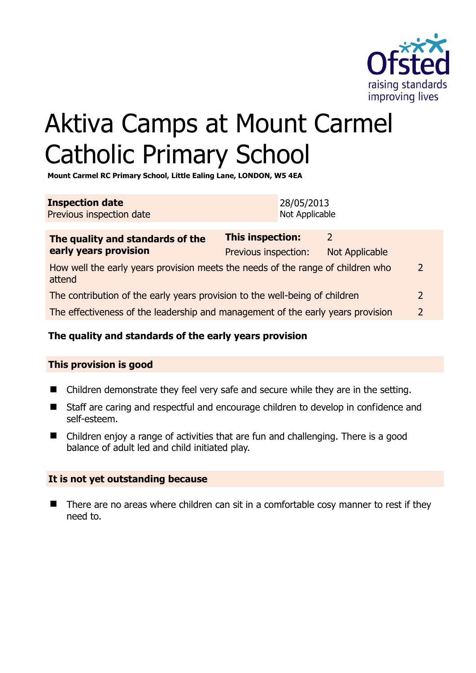

# Aktiva Camps at Mount Carmel Catholic Primary School

**Mount Carmel RC Primary School, Little Ealing Lane, LONDON, W5 4EA** 

| <b>Inspection date</b>   | 28/05/2013     |
|--------------------------|----------------|
| Previous inspection date | Not Applicable |

| The quality and standards of the<br>early years provision                                 | <b>This inspection:</b> | $\mathcal{P}$  |               |
|-------------------------------------------------------------------------------------------|-------------------------|----------------|---------------|
|                                                                                           | Previous inspection:    | Not Applicable |               |
| How well the early years provision meets the needs of the range of children who<br>attend |                         |                | $\mathcal{L}$ |
| The contribution of the early years provision to the well-being of children               |                         |                | $\mathcal{L}$ |
| The effectiveness of the leadership and management of the early years provision           |                         |                |               |
|                                                                                           |                         |                |               |

# **The quality and standards of the early years provision**

# **This provision is good**

- Children demonstrate they feel very safe and secure while they are in the setting.
- Staff are caring and respectful and encourage children to develop in confidence and self-esteem.
- Children enjoy a range of activities that are fun and challenging. There is a good balance of adult led and child initiated play.

#### **It is not yet outstanding because**

 There are no areas where children can sit in a comfortable cosy manner to rest if they need to.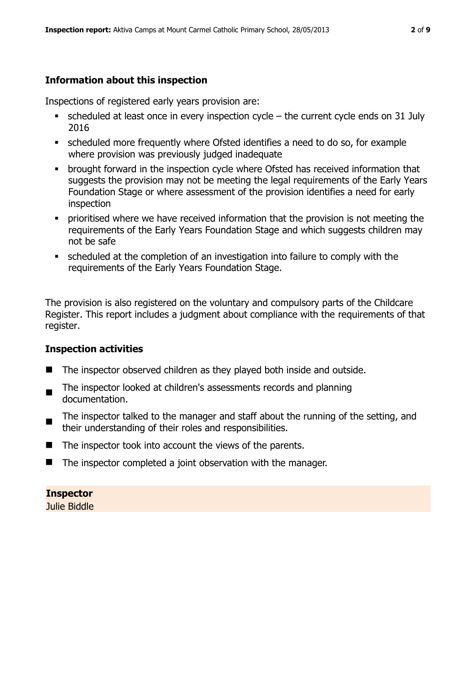# **Information about this inspection**

Inspections of registered early years provision are:

- scheduled at least once in every inspection cycle the current cycle ends on 31 July 2016
- scheduled more frequently where Ofsted identifies a need to do so, for example where provision was previously judged inadequate
- **•** brought forward in the inspection cycle where Ofsted has received information that suggests the provision may not be meeting the legal requirements of the Early Years Foundation Stage or where assessment of the provision identifies a need for early inspection
- **•** prioritised where we have received information that the provision is not meeting the requirements of the Early Years Foundation Stage and which suggests children may not be safe
- scheduled at the completion of an investigation into failure to comply with the requirements of the Early Years Foundation Stage.

The provision is also registered on the voluntary and compulsory parts of the Childcare Register. This report includes a judgment about compliance with the requirements of that register.

#### **Inspection activities**

- The inspector observed children as they played both inside and outside.
- The inspector looked at children's assessments records and planning documentation.
- The inspector talked to the manager and staff about the running of the setting, and their understanding of their roles and responsibilities.
- $\blacksquare$  The inspector took into account the views of the parents.
- The inspector completed a joint observation with the manager.

# **Inspector**

Julie Biddle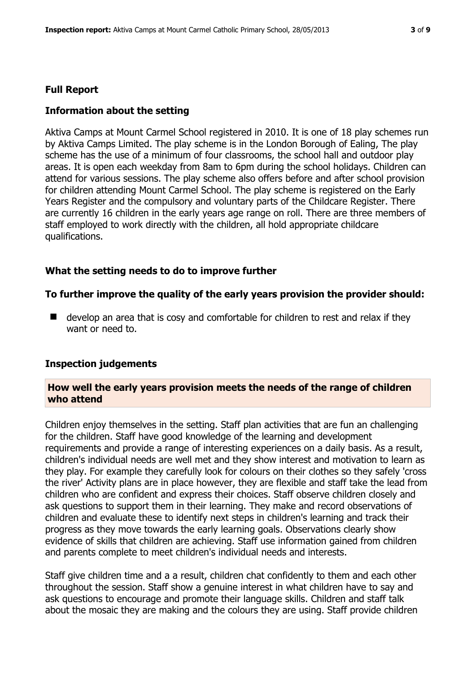#### **Full Report**

#### **Information about the setting**

Aktiva Camps at Mount Carmel School registered in 2010. It is one of 18 play schemes run by Aktiva Camps Limited. The play scheme is in the London Borough of Ealing, The play scheme has the use of a minimum of four classrooms, the school hall and outdoor play areas. It is open each weekday from 8am to 6pm during the school holidays. Children can attend for various sessions. The play scheme also offers before and after school provision for children attending Mount Carmel School. The play scheme is registered on the Early Years Register and the compulsory and voluntary parts of the Childcare Register. There are currently 16 children in the early years age range on roll. There are three members of staff employed to work directly with the children, all hold appropriate childcare qualifications.

#### **What the setting needs to do to improve further**

#### **To further improve the quality of the early years provision the provider should:**

 $\blacksquare$  develop an area that is cosy and comfortable for children to rest and relax if they want or need to.

#### **Inspection judgements**

#### **How well the early years provision meets the needs of the range of children who attend**

Children enjoy themselves in the setting. Staff plan activities that are fun an challenging for the children. Staff have good knowledge of the learning and development requirements and provide a range of interesting experiences on a daily basis. As a result, children's individual needs are well met and they show interest and motivation to learn as they play. For example they carefully look for colours on their clothes so they safely 'cross the river' Activity plans are in place however, they are flexible and staff take the lead from children who are confident and express their choices. Staff observe children closely and ask questions to support them in their learning. They make and record observations of children and evaluate these to identify next steps in children's learning and track their progress as they move towards the early learning goals. Observations clearly show evidence of skills that children are achieving. Staff use information gained from children and parents complete to meet children's individual needs and interests.

Staff give children time and a a result, children chat confidently to them and each other throughout the session. Staff show a genuine interest in what children have to say and ask questions to encourage and promote their language skills. Children and staff talk about the mosaic they are making and the colours they are using. Staff provide children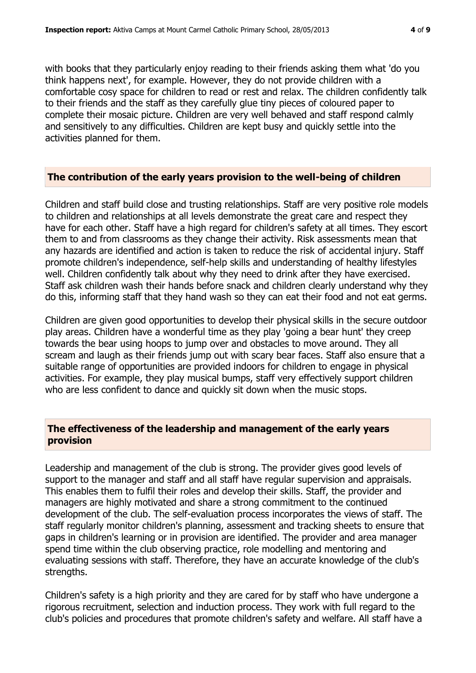with books that they particularly enjoy reading to their friends asking them what 'do you think happens next', for example. However, they do not provide children with a comfortable cosy space for children to read or rest and relax. The children confidently talk to their friends and the staff as they carefully glue tiny pieces of coloured paper to complete their mosaic picture. Children are very well behaved and staff respond calmly and sensitively to any difficulties. Children are kept busy and quickly settle into the activities planned for them.

#### **The contribution of the early years provision to the well-being of children**

Children and staff build close and trusting relationships. Staff are very positive role models to children and relationships at all levels demonstrate the great care and respect they have for each other. Staff have a high regard for children's safety at all times. They escort them to and from classrooms as they change their activity. Risk assessments mean that any hazards are identified and action is taken to reduce the risk of accidental injury. Staff promote children's independence, self-help skills and understanding of healthy lifestyles well. Children confidently talk about why they need to drink after they have exercised. Staff ask children wash their hands before snack and children clearly understand why they do this, informing staff that they hand wash so they can eat their food and not eat germs.

Children are given good opportunities to develop their physical skills in the secure outdoor play areas. Children have a wonderful time as they play 'going a bear hunt' they creep towards the bear using hoops to jump over and obstacles to move around. They all scream and laugh as their friends jump out with scary bear faces. Staff also ensure that a suitable range of opportunities are provided indoors for children to engage in physical activities. For example, they play musical bumps, staff very effectively support children who are less confident to dance and quickly sit down when the music stops.

# **The effectiveness of the leadership and management of the early years provision**

Leadership and management of the club is strong. The provider gives good levels of support to the manager and staff and all staff have regular supervision and appraisals. This enables them to fulfil their roles and develop their skills. Staff, the provider and managers are highly motivated and share a strong commitment to the continued development of the club. The self-evaluation process incorporates the views of staff. The staff regularly monitor children's planning, assessment and tracking sheets to ensure that gaps in children's learning or in provision are identified. The provider and area manager spend time within the club observing practice, role modelling and mentoring and evaluating sessions with staff. Therefore, they have an accurate knowledge of the club's strengths.

Children's safety is a high priority and they are cared for by staff who have undergone a rigorous recruitment, selection and induction process. They work with full regard to the club's policies and procedures that promote children's safety and welfare. All staff have a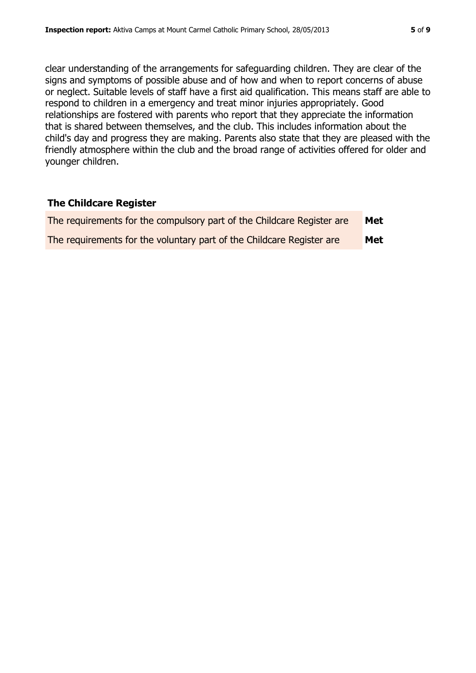clear understanding of the arrangements for safeguarding children. They are clear of the signs and symptoms of possible abuse and of how and when to report concerns of abuse or neglect. Suitable levels of staff have a first aid qualification. This means staff are able to respond to children in a emergency and treat minor injuries appropriately. Good relationships are fostered with parents who report that they appreciate the information that is shared between themselves, and the club. This includes information about the child's day and progress they are making. Parents also state that they are pleased with the friendly atmosphere within the club and the broad range of activities offered for older and younger children.

# **The Childcare Register**

| The requirements for the compulsory part of the Childcare Register are | Met |
|------------------------------------------------------------------------|-----|
| The requirements for the voluntary part of the Childcare Register are  | Met |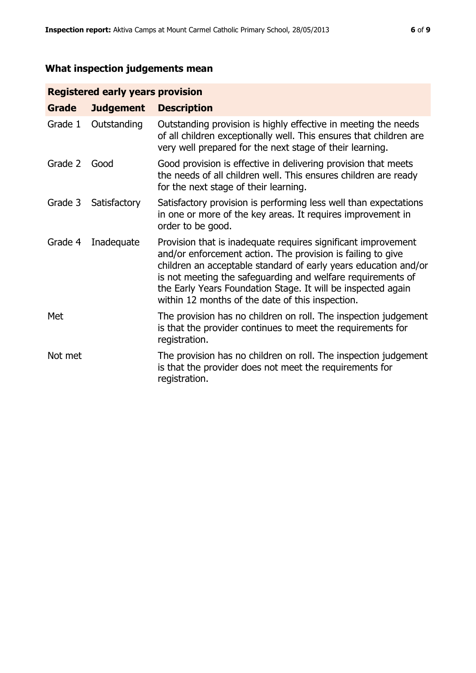# **What inspection judgements mean**

# **Registered early years provision**

| Grade   | <b>Judgement</b> | <b>Description</b>                                                                                                                                                                                                                                                                                                                                                                 |
|---------|------------------|------------------------------------------------------------------------------------------------------------------------------------------------------------------------------------------------------------------------------------------------------------------------------------------------------------------------------------------------------------------------------------|
| Grade 1 | Outstanding      | Outstanding provision is highly effective in meeting the needs<br>of all children exceptionally well. This ensures that children are<br>very well prepared for the next stage of their learning.                                                                                                                                                                                   |
| Grade 2 | Good             | Good provision is effective in delivering provision that meets<br>the needs of all children well. This ensures children are ready<br>for the next stage of their learning.                                                                                                                                                                                                         |
| Grade 3 | Satisfactory     | Satisfactory provision is performing less well than expectations<br>in one or more of the key areas. It requires improvement in<br>order to be good.                                                                                                                                                                                                                               |
| Grade 4 | Inadequate       | Provision that is inadequate requires significant improvement<br>and/or enforcement action. The provision is failing to give<br>children an acceptable standard of early years education and/or<br>is not meeting the safeguarding and welfare requirements of<br>the Early Years Foundation Stage. It will be inspected again<br>within 12 months of the date of this inspection. |
| Met     |                  | The provision has no children on roll. The inspection judgement<br>is that the provider continues to meet the requirements for<br>registration.                                                                                                                                                                                                                                    |
| Not met |                  | The provision has no children on roll. The inspection judgement<br>is that the provider does not meet the requirements for<br>registration.                                                                                                                                                                                                                                        |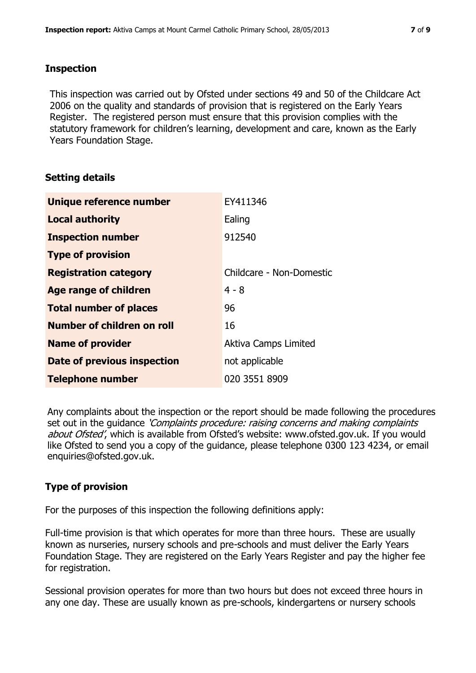#### **Inspection**

This inspection was carried out by Ofsted under sections 49 and 50 of the Childcare Act 2006 on the quality and standards of provision that is registered on the Early Years Register. The registered person must ensure that this provision complies with the statutory framework for children's learning, development and care, known as the Early Years Foundation Stage.

# **Setting details**

| Unique reference number       | EY411346                    |
|-------------------------------|-----------------------------|
| <b>Local authority</b>        | Ealing                      |
| <b>Inspection number</b>      | 912540                      |
| <b>Type of provision</b>      |                             |
| <b>Registration category</b>  | Childcare - Non-Domestic    |
| Age range of children         | $4 - 8$                     |
| <b>Total number of places</b> | 96                          |
| Number of children on roll    | 16                          |
| <b>Name of provider</b>       | <b>Aktiva Camps Limited</b> |
| Date of previous inspection   | not applicable              |
| <b>Telephone number</b>       | 020 3551 8909               |

Any complaints about the inspection or the report should be made following the procedures set out in the guidance *'Complaints procedure: raising concerns and making complaints* about Ofsted', which is available from Ofsted's website: www.ofsted.gov.uk. If you would like Ofsted to send you a copy of the guidance, please telephone 0300 123 4234, or email enquiries@ofsted.gov.uk.

# **Type of provision**

For the purposes of this inspection the following definitions apply:

Full-time provision is that which operates for more than three hours. These are usually known as nurseries, nursery schools and pre-schools and must deliver the Early Years Foundation Stage. They are registered on the Early Years Register and pay the higher fee for registration.

Sessional provision operates for more than two hours but does not exceed three hours in any one day. These are usually known as pre-schools, kindergartens or nursery schools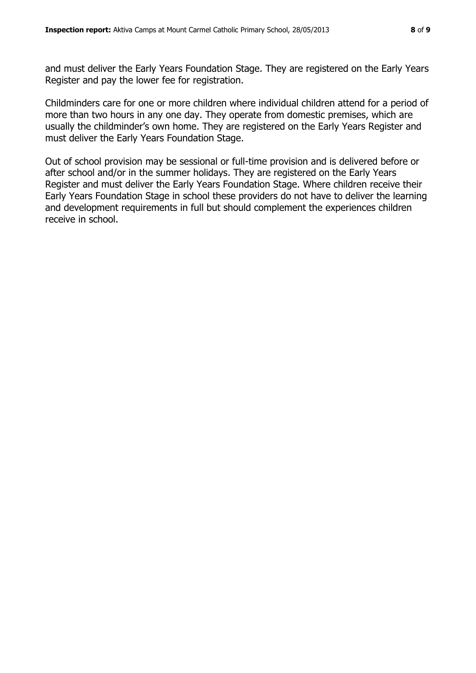and must deliver the Early Years Foundation Stage. They are registered on the Early Years Register and pay the lower fee for registration.

Childminders care for one or more children where individual children attend for a period of more than two hours in any one day. They operate from domestic premises, which are usually the childminder's own home. They are registered on the Early Years Register and must deliver the Early Years Foundation Stage.

Out of school provision may be sessional or full-time provision and is delivered before or after school and/or in the summer holidays. They are registered on the Early Years Register and must deliver the Early Years Foundation Stage. Where children receive their Early Years Foundation Stage in school these providers do not have to deliver the learning and development requirements in full but should complement the experiences children receive in school.